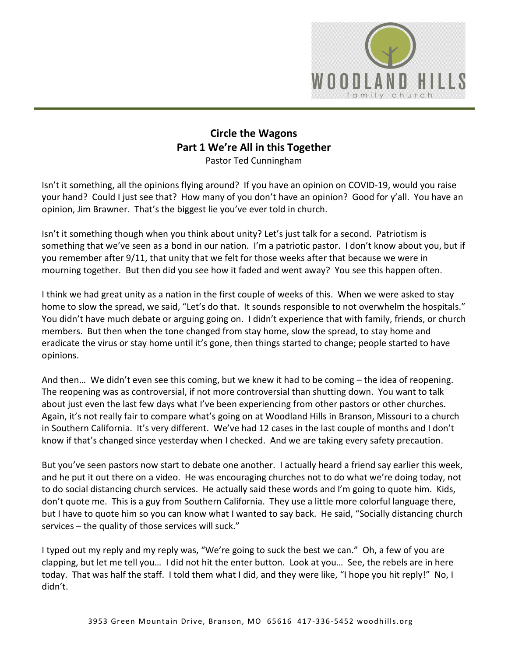

## **Circle the Wagons Part 1 We're All in this Together** Pastor Ted Cunningham

Isn't it something, all the opinions flying around? If you have an opinion on COVID-19, would you raise your hand? Could I just see that? How many of you don't have an opinion? Good for y'all. You have an opinion, Jim Brawner. That's the biggest lie you've ever told in church.

Isn't it something though when you think about unity? Let's just talk for a second. Patriotism is something that we've seen as a bond in our nation. I'm a patriotic pastor. I don't know about you, but if you remember after 9/11, that unity that we felt for those weeks after that because we were in mourning together. But then did you see how it faded and went away? You see this happen often.

I think we had great unity as a nation in the first couple of weeks of this. When we were asked to stay home to slow the spread, we said, "Let's do that. It sounds responsible to not overwhelm the hospitals." You didn't have much debate or arguing going on. I didn't experience that with family, friends, or church members. But then when the tone changed from stay home, slow the spread, to stay home and eradicate the virus or stay home until it's gone, then things started to change; people started to have opinions.

And then… We didn't even see this coming, but we knew it had to be coming – the idea of reopening. The reopening was as controversial, if not more controversial than shutting down. You want to talk about just even the last few days what I've been experiencing from other pastors or other churches. Again, it's not really fair to compare what's going on at Woodland Hills in Branson, Missouri to a church in Southern California. It's very different. We've had 12 cases in the last couple of months and I don't know if that's changed since yesterday when I checked. And we are taking every safety precaution.

But you've seen pastors now start to debate one another. I actually heard a friend say earlier this week, and he put it out there on a video. He was encouraging churches not to do what we're doing today, not to do social distancing church services. He actually said these words and I'm going to quote him. Kids, don't quote me. This is a guy from Southern California. They use a little more colorful language there, but I have to quote him so you can know what I wanted to say back. He said, "Socially distancing church services – the quality of those services will suck."

I typed out my reply and my reply was, "We're going to suck the best we can." Oh, a few of you are clapping, but let me tell you… I did not hit the enter button. Look at you… See, the rebels are in here today. That was half the staff. I told them what I did, and they were like, "I hope you hit reply!" No, I didn't.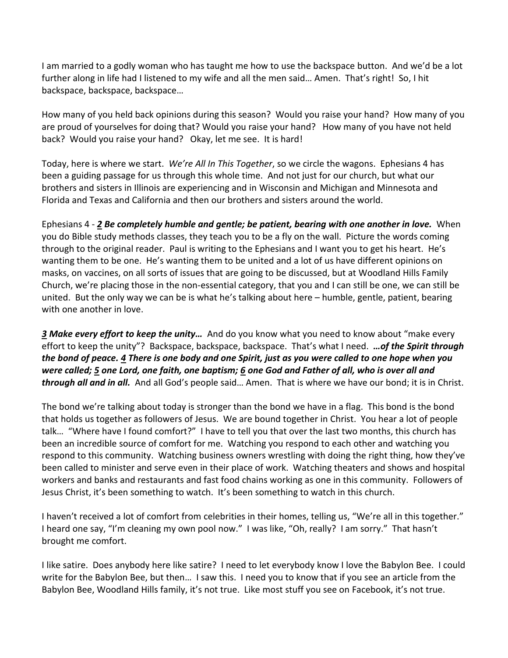I am married to a godly woman who has taught me how to use the backspace button. And we'd be a lot further along in life had I listened to my wife and all the men said... Amen. That's right! So, I hit backspace, backspace, backspace…

How many of you held back opinions during this season? Would you raise your hand? How many of you are proud of yourselves for doing that? Would you raise your hand? How many of you have not held back? Would you raise your hand? Okay, let me see. It is hard!

Today, here is where we start. *We're All In This Together*, so we circle the wagons. Ephesians 4 has been a guiding passage for us through this whole time. And not just for our church, but what our brothers and sisters in Illinois are experiencing and in Wisconsin and Michigan and Minnesota and Florida and Texas and California and then our brothers and sisters around the world.

Ephesians 4 - *[2](https://www.studylight.org/desk/?q=eph%204:2&t1=en_niv&sr=1) Be completely humble and gentle; be patient, bearing with one another in love.* When you do Bible study methods classes, they teach you to be a fly on the wall. Picture the words coming through to the original reader. Paul is writing to the Ephesians and I want you to get his heart. He's wanting them to be one. He's wanting them to be united and a lot of us have different opinions on masks, on vaccines, on all sorts of issues that are going to be discussed, but at Woodland Hills Family Church, we're placing those in the non-essential category, that you and I can still be one, we can still be united. But the only way we can be is what he's talking about here – humble, gentle, patient, bearing with one another in love.

*[3](https://www.studylight.org/desk/?q=eph%204:3&t1=en_niv&sr=1) Make every effort to keep the unity…* And do you know what you need to know about "make every effort to keep the unity"? Backspace, backspace, backspace. That's what I need. *…of the Spirit through the bond of peace. [4](https://www.studylight.org/desk/?q=eph%204:4&t1=en_niv&sr=1) There is one body and one Spirit, just as you were called to one hope when you were called; [5](https://www.studylight.org/desk/?q=eph%204:5&t1=en_niv&sr=1) one Lord, one faith, one baptism; [6](https://www.studylight.org/desk/?q=eph%204:6&t1=en_niv&sr=1) one God and Father of all, who is over all and through all and in all.* And all God's people said… Amen. That is where we have our bond; it is in Christ.

The bond we're talking about today is stronger than the bond we have in a flag. This bond is the bond that holds us together as followers of Jesus. We are bound together in Christ. You hear a lot of people talk… "Where have I found comfort?" I have to tell you that over the last two months, this church has been an incredible source of comfort for me. Watching you respond to each other and watching you respond to this community. Watching business owners wrestling with doing the right thing, how they've been called to minister and serve even in their place of work. Watching theaters and shows and hospital workers and banks and restaurants and fast food chains working as one in this community. Followers of Jesus Christ, it's been something to watch. It's been something to watch in this church.

I haven't received a lot of comfort from celebrities in their homes, telling us, "We're all in this together." I heard one say, "I'm cleaning my own pool now." I was like, "Oh, really? I am sorry." That hasn't brought me comfort.

I like satire. Does anybody here like satire? I need to let everybody know I love the Babylon Bee. I could write for the Babylon Bee, but then… I saw this. I need you to know that if you see an article from the Babylon Bee, Woodland Hills family, it's not true. Like most stuff you see on Facebook, it's not true.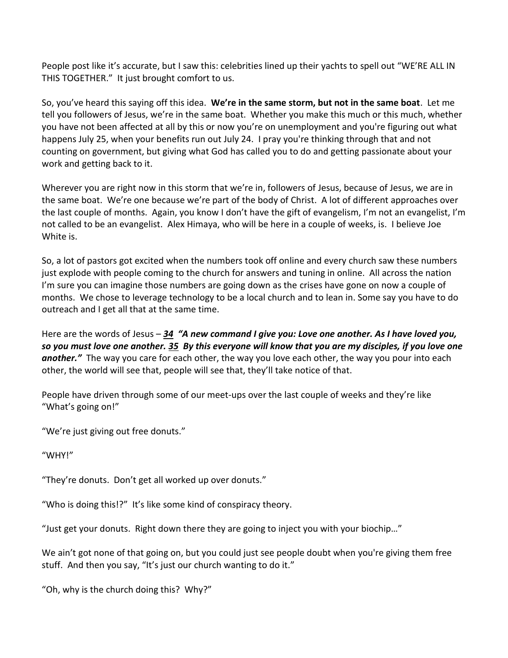People post like it's accurate, but I saw this: celebrities lined up their yachts to spell out "WE'RE ALL IN THIS TOGETHER." It just brought comfort to us.

So, you've heard this saying off this idea. **We're in the same storm, but not in the same boat**. Let me tell you followers of Jesus, we're in the same boat. Whether you make this much or this much, whether you have not been affected at all by this or now you're on unemployment and you're figuring out what happens July 25, when your benefits run out July 24. I pray you're thinking through that and not counting on government, but giving what God has called you to do and getting passionate about your work and getting back to it.

Wherever you are right now in this storm that we're in, followers of Jesus, because of Jesus, we are in the same boat. We're one because we're part of the body of Christ. A lot of different approaches over the last couple of months. Again, you know I don't have the gift of evangelism, I'm not an evangelist, I'm not called to be an evangelist. Alex Himaya, who will be here in a couple of weeks, is. I believe Joe White is.

So, a lot of pastors got excited when the numbers took off online and every church saw these numbers just explode with people coming to the church for answers and tuning in online. All across the nation I'm sure you can imagine those numbers are going down as the crises have gone on now a couple of months. We chose to leverage technology to be a local church and to lean in. Some say you have to do outreach and I get all that at the same time.

Here are the words of Jesus – *[34](https://www.studylight.org/desk/?q=joh%2013:34&t1=en_niv&sr=1) "A new command I give you: Love one another. As I have loved you, so you must love one another. [35](https://www.studylight.org/desk/?q=joh%2013:35&t1=en_niv&sr=1) By this everyone will know that you are my disciples, if you love one another."* The way you care for each other, the way you love each other, the way you pour into each other, the world will see that, people will see that, they'll take notice of that.

People have driven through some of our meet-ups over the last couple of weeks and they're like "What's going on!"

"We're just giving out free donuts."

"WHY!"

"They're donuts. Don't get all worked up over donuts."

"Who is doing this!?" It's like some kind of conspiracy theory.

"Just get your donuts. Right down there they are going to inject you with your biochip…"

We ain't got none of that going on, but you could just see people doubt when you're giving them free stuff. And then you say, "It's just our church wanting to do it."

"Oh, why is the church doing this? Why?"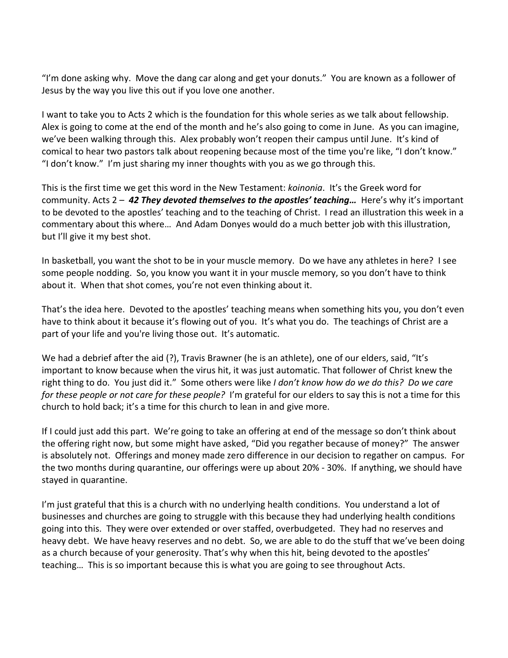"I'm done asking why. Move the dang car along and get your donuts." You are known as a follower of Jesus by the way you live this out if you love one another.

I want to take you to Acts 2 which is the foundation for this whole series as we talk about fellowship. Alex is going to come at the end of the month and he's also going to come in June. As you can imagine, we've been walking through this. Alex probably won't reopen their campus until June. It's kind of comical to hear two pastors talk about reopening because most of the time you're like, "I don't know." "I don't know." I'm just sharing my inner thoughts with you as we go through this.

This is the first time we get this word in the New Testament: *koinonia*. It's the Greek word for community. Acts 2 – *[42](https://www.studylight.org/desk/?q=ac%202:42&t1=en_niv&sr=1) They devoted themselves to the apostles' teaching…* Here's why it's important to be devoted to the apostles' teaching and to the teaching of Christ. I read an illustration this week in a commentary about this where… And Adam Donyes would do a much better job with this illustration, but I'll give it my best shot.

In basketball, you want the shot to be in your muscle memory. Do we have any athletes in here? I see some people nodding. So, you know you want it in your muscle memory, so you don't have to think about it. When that shot comes, you're not even thinking about it.

That's the idea here. Devoted to the apostles' teaching means when something hits you, you don't even have to think about it because it's flowing out of you. It's what you do. The teachings of Christ are a part of your life and you're living those out. It's automatic.

We had a debrief after the aid (?), Travis Brawner (he is an athlete), one of our elders, said, "It's important to know because when the virus hit, it was just automatic. That follower of Christ knew the right thing to do. You just did it." Some others were like *I don't know how do we do this? Do we care for these people or not care for these people?* I'm grateful for our elders to say this is not a time for this church to hold back; it's a time for this church to lean in and give more.

If I could just add this part. We're going to take an offering at end of the message so don't think about the offering right now, but some might have asked, "Did you regather because of money?" The answer is absolutely not. Offerings and money made zero difference in our decision to regather on campus. For the two months during quarantine, our offerings were up about 20% - 30%. If anything, we should have stayed in quarantine.

I'm just grateful that this is a church with no underlying health conditions. You understand a lot of businesses and churches are going to struggle with this because they had underlying health conditions going into this. They were over extended or over staffed, overbudgeted. They had no reserves and heavy debt. We have heavy reserves and no debt. So, we are able to do the stuff that we've been doing as a church because of your generosity. That's why when this hit, being devoted to the apostles' teaching… This is so important because this is what you are going to see throughout Acts.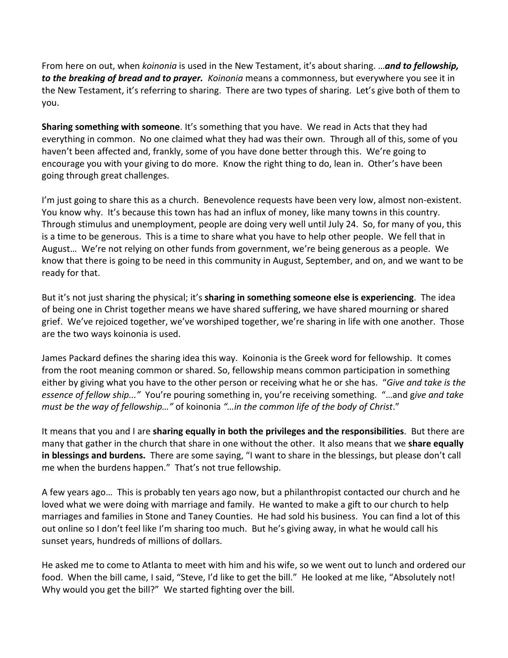From here on out, when *koinonia* is used in the New Testament, it's about sharing. …*and to fellowship, to the breaking of bread and to prayer. Koinonia* means a commonness, but everywhere you see it in the New Testament, it's referring to sharing. There are two types of sharing. Let's give both of them to you.

**Sharing something with someone**. It's something that you have. We read in Acts that they had everything in common. No one claimed what they had was their own. Through all of this, some of you haven't been affected and, frankly, some of you have done better through this. We're going to encourage you with your giving to do more. Know the right thing to do, lean in. Other's have been going through great challenges.

I'm just going to share this as a church. Benevolence requests have been very low, almost non-existent. You know why. It's because this town has had an influx of money, like many towns in this country. Through stimulus and unemployment, people are doing very well until July 24. So, for many of you, this is a time to be generous. This is a time to share what you have to help other people. We fell that in August… We're not relying on other funds from government, we're being generous as a people. We know that there is going to be need in this community in August, September, and on, and we want to be ready for that.

But it's not just sharing the physical; it's **sharing in something someone else is experiencing**. The idea of being one in Christ together means we have shared suffering, we have shared mourning or shared grief. We've rejoiced together, we've worshiped together, we're sharing in life with one another. Those are the two ways koinonia is used.

James Packard defines the sharing idea this way. Koinonia is the Greek word for fellowship. It comes from the root meaning common or shared. So, fellowship means common participation in something either by giving what you have to the other person or receiving what he or she has. "*Give and take is the essence of fellow ship..."* You're pouring something in, you're receiving something. "…and g*ive and take must be the way of fellowship…"* of koinonia *"…in the common life of the body of Christ*."

It means that you and I are **sharing equally in both the privileges and the responsibilities**. But there are many that gather in the church that share in one without the other. It also means that we **share equally in blessings and burdens.** There are some saying, "I want to share in the blessings, but please don't call me when the burdens happen." That's not true fellowship.

A few years ago… This is probably ten years ago now, but a philanthropist contacted our church and he loved what we were doing with marriage and family. He wanted to make a gift to our church to help marriages and families in Stone and Taney Counties. He had sold his business. You can find a lot of this out online so I don't feel like I'm sharing too much. But he's giving away, in what he would call his sunset years, hundreds of millions of dollars.

He asked me to come to Atlanta to meet with him and his wife, so we went out to lunch and ordered our food. When the bill came, I said, "Steve, I'd like to get the bill." He looked at me like, "Absolutely not! Why would you get the bill?" We started fighting over the bill.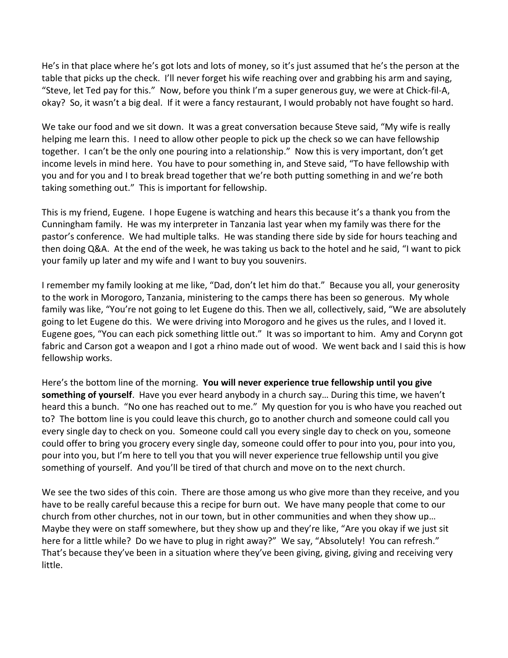He's in that place where he's got lots and lots of money, so it's just assumed that he's the person at the table that picks up the check. I'll never forget his wife reaching over and grabbing his arm and saying, "Steve, let Ted pay for this." Now, before you think I'm a super generous guy, we were at Chick-fil-A, okay? So, it wasn't a big deal. If it were a fancy restaurant, I would probably not have fought so hard.

We take our food and we sit down. It was a great conversation because Steve said, "My wife is really helping me learn this. I need to allow other people to pick up the check so we can have fellowship together. I can't be the only one pouring into a relationship." Now this is very important, don't get income levels in mind here. You have to pour something in, and Steve said, "To have fellowship with you and for you and I to break bread together that we're both putting something in and we're both taking something out." This is important for fellowship.

This is my friend, Eugene. I hope Eugene is watching and hears this because it's a thank you from the Cunningham family. He was my interpreter in Tanzania last year when my family was there for the pastor's conference. We had multiple talks. He was standing there side by side for hours teaching and then doing Q&A. At the end of the week, he was taking us back to the hotel and he said, "I want to pick your family up later and my wife and I want to buy you souvenirs.

I remember my family looking at me like, "Dad, don't let him do that." Because you all, your generosity to the work in Morogoro, Tanzania, ministering to the camps there has been so generous. My whole family was like, "You're not going to let Eugene do this. Then we all, collectively, said, "We are absolutely going to let Eugene do this. We were driving into Morogoro and he gives us the rules, and I loved it. Eugene goes, "You can each pick something little out." It was so important to him. Amy and Corynn got fabric and Carson got a weapon and I got a rhino made out of wood. We went back and I said this is how fellowship works.

Here's the bottom line of the morning. **You will never experience true fellowship until you give something of yourself**. Have you ever heard anybody in a church say… During this time, we haven't heard this a bunch. "No one has reached out to me." My question for you is who have you reached out to? The bottom line is you could leave this church, go to another church and someone could call you every single day to check on you. Someone could call you every single day to check on you, someone could offer to bring you grocery every single day, someone could offer to pour into you, pour into you, pour into you, but I'm here to tell you that you will never experience true fellowship until you give something of yourself. And you'll be tired of that church and move on to the next church.

We see the two sides of this coin. There are those among us who give more than they receive, and you have to be really careful because this a recipe for burn out. We have many people that come to our church from other churches, not in our town, but in other communities and when they show up… Maybe they were on staff somewhere, but they show up and they're like, "Are you okay if we just sit here for a little while? Do we have to plug in right away?" We say, "Absolutely! You can refresh." That's because they've been in a situation where they've been giving, giving, giving and receiving very little.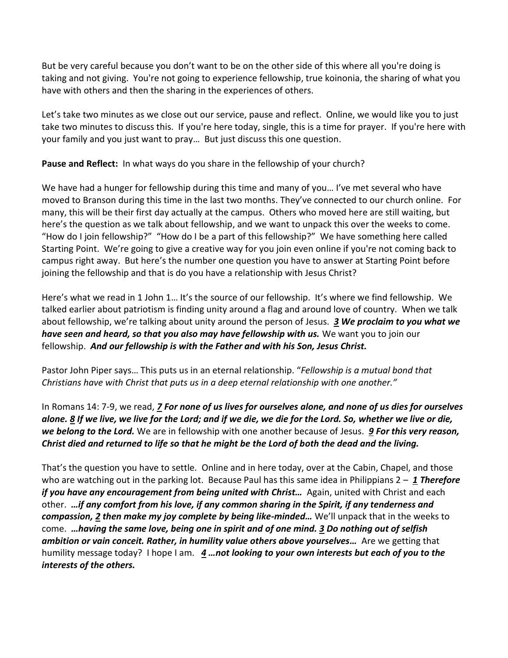But be very careful because you don't want to be on the other side of this where all you're doing is taking and not giving. You're not going to experience fellowship, true koinonia, the sharing of what you have with others and then the sharing in the experiences of others.

Let's take two minutes as we close out our service, pause and reflect. Online, we would like you to just take two minutes to discuss this. If you're here today, single, this is a time for prayer. If you're here with your family and you just want to pray… But just discuss this one question.

**Pause and Reflect:** In what ways do you share in the fellowship of your church?

We have had a hunger for fellowship during this time and many of you… I've met several who have moved to Branson during this time in the last two months. They've connected to our church online. For many, this will be their first day actually at the campus. Others who moved here are still waiting, but here's the question as we talk about fellowship, and we want to unpack this over the weeks to come. "How do I join fellowship?" "How do I be a part of this fellowship?" We have something here called Starting Point. We're going to give a creative way for you join even online if you're not coming back to campus right away. But here's the number one question you have to answer at Starting Point before joining the fellowship and that is do you have a relationship with Jesus Christ?

Here's what we read in 1 John 1… It's the source of our fellowship. It's where we find fellowship. We talked earlier about patriotism is finding unity around a flag and around love of country. When we talk about fellowship, we're talking about unity around the person of Jesus. *[3](https://www.studylight.org/desk/?q=1jo%201:3&t1=en_niv&sr=1) We proclaim to you what we have seen and heard, so that you also may have fellowship with us.* We want you to join our fellowship. *And our fellowship is with the Father and with his Son, Jesus Christ.*

Pastor John Piper says… This puts us in an eternal relationship. "*Fellowship is a mutual bond that Christians have with Christ that puts us in a deep eternal relationship with one another."*

In Romans 14: 7-9, we read, *[7](https://www.studylight.org/desk/?q=ro%2014:7&t1=en_niv&sr=1) For none of us lives for ourselves alone, and none of us dies for ourselves alone. [8](https://www.studylight.org/desk/?q=ro%2014:8&t1=en_niv&sr=1) If we live, we live for the Lord; and if we die, we die for the Lord. So, whether we live or die, we belong to the Lord.* We are in fellowship with one another because of Jesus. *[9](https://www.studylight.org/desk/?q=ro%2014:9&t1=en_niv&sr=1) For this very reason, Christ died and returned to life so that he might be the Lord of both the dead and the living.*

That's the question you have to settle. Online and in here today, over at the Cabin, Chapel, and those who are watching out in the parking lot. Because Paul has this same idea in Philippians 2 – *[1](https://www.studylight.org/desk/?q=php%202:1&t1=en_niv&sr=1) Therefore if you have any encouragement from being united with Christ<sub><i>…*</sub> Again, united with Christ and each other. *…if any comfort from his love, if any common sharing in the Spirit, if any tenderness and compassion, [2](https://www.studylight.org/desk/?q=php%202:2&t1=en_niv&sr=1) then make my joy complete by being like-minded…* We'll unpack that in the weeks to come. *…having the same love, being one in spirit and of one mind. [3](https://www.studylight.org/desk/?q=php%202:3&t1=en_niv&sr=1) Do nothing out of selfish ambition or vain conceit. Rather, in humility value others above yourselves…* Are we getting that humility message today? I hope I am. *[4](https://www.studylight.org/desk/?q=php%202:4&t1=en_niv&sr=1) …not looking to your own interests but each of you to the interests of the others.*